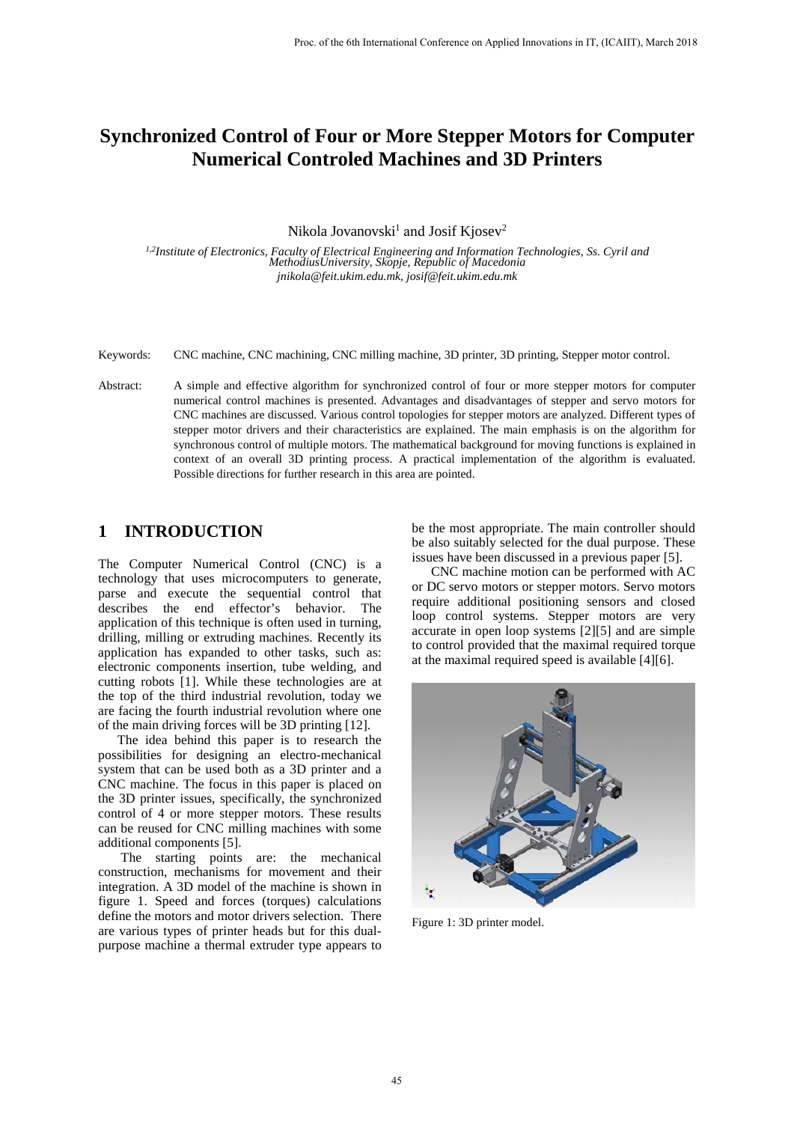# **Synchronized Control of Four or More Stepper Motors for Computer Numerical Controled Machines and 3D Printers**

Nikola Jovanovski $^1$  and Josif Kjosev $^2$ 

*1,2 Institute of Electronics, Faculty of Electrical Engineering and Information Technologies, Ss. Cyril and MethodiusUniversity, Skopje, Republic of Macedonia jnikola@feit.ukim.edu.mk, josif@feit.ukim.edu.mk*

- Keywords: CNC machine, CNC machining, CNC milling machine, 3D printer, 3D printing, Stepper motor control.
- Abstract: A simple and effective algorithm for synchronized control of four or more stepper motors for computer numerical control machines is presented. Advantages and disadvantages of stepper and servo motors for CNC machines are discussed. Various control topologies for stepper motors are analyzed. Different types of stepper motor drivers and their characteristics are explained. The main emphasis is on the algorithm for synchronous control of multiple motors. The mathematical background for moving functions is explained in context of an overall 3D printing process. A practical implementation of the algorithm is evaluated. Possible directions for further research in this area are pointed.

#### **1 INTRODUCTION**

The Computer Numerical Control (CNC) is a technology that uses microcomputers to generate, parse and execute the sequential control that describes the end effector's behavior. The application of this technique is often used in turning, drilling, milling or extruding machines. Recently its application has expanded to other tasks, such as: electronic components insertion, tube welding, and cutting robots [\[1\].](#page-5-0) While these technologies are at the top of the third industrial revolution, today we are facing the fourth industrial revolution where one of the main driving forces will be 3D printing [\[12\].](#page-5-1)

The idea behind this paper is to research the possibilities for designing an electro-mechanical system that can be used both as a 3D printer and a CNC machine. The focus in this paper is placed on the 3D printer issues, specifically, the synchronized control of 4 or more stepper motors. These results can be reused for CNC milling machines with some additional components [\[5\].](#page-5-2)

The starting points are: the mechanical construction, mechanisms for movement and their integration. A 3D model of the machine is shown in figure 1. Speed and forces (torques) calculations define the motors and motor drivers selection. There are various types of printer heads but for this dualpurpose machine a thermal extruder type appears to

be the most appropriate. The main controller should be also suitably selected for the dual purpose. These issues have been discussed in a previous paper [5].

CNC machine motion can be performed with AC or DC servo motors or stepper motors. Servo motors require additional positioning sensors and closed loop control systems. Stepper motors are very accurate in open loop systems [\[2\]\[5\]](#page-5-3) and are simple to control provided that the maximal required torque at the maximal required speed is available [\[4\]\[6\].](#page-5-4)



Figure 1: 3D printer model.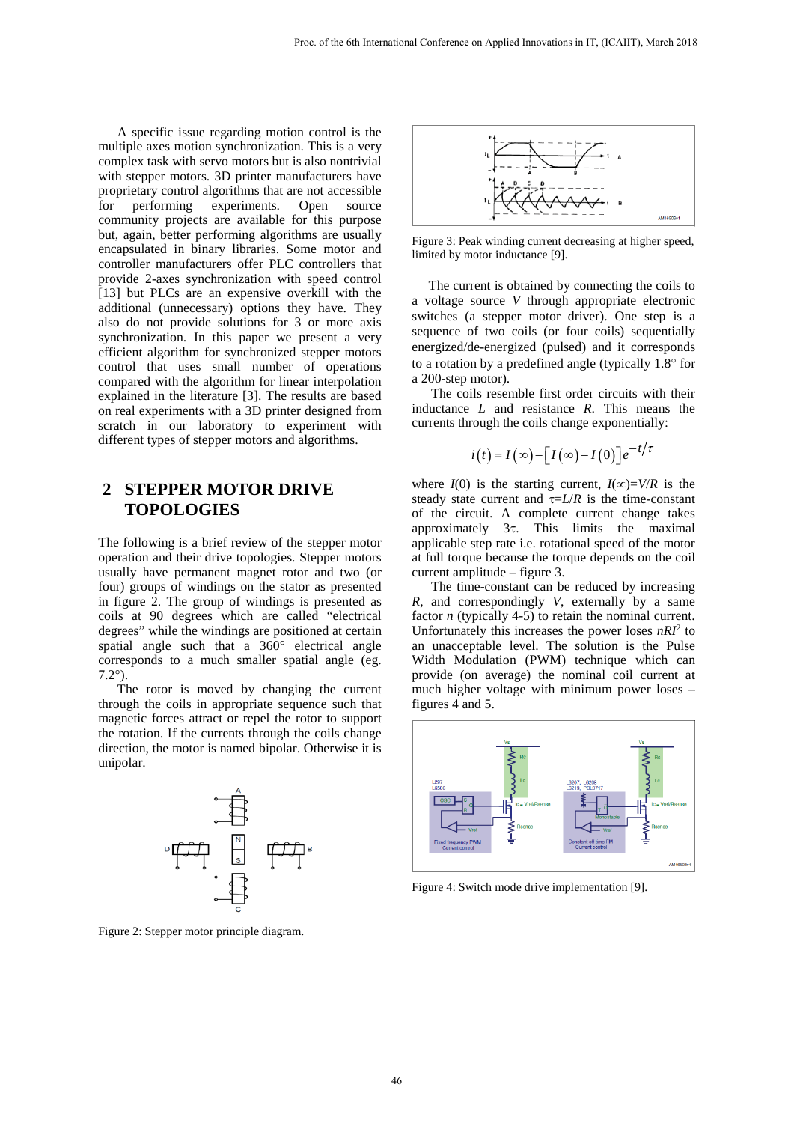A specific issue regarding motion control is the multiple axes motion synchronization. This is a very complex task with servo motors but is also nontrivial with stepper motors. 3D printer manufacturers have proprietary control algorithms that are not accessible<br>for performing experiments. Open source for performing experiments. Open source community projects are available for this purpose but, again, better performing algorithms are usually encapsulated in binary libraries. Some motor and controller manufacturers offer PLC controllers that provide 2-axes synchronization with speed control [\[13\]](#page-5-5) but PLCs are an expensive overkill with the additional (unnecessary) options they have. They also do not provide solutions for 3 or more axis synchronization. In this paper we present a very efficient algorithm for synchronized stepper motors control that uses small number of operations compared with the algorithm for linear interpolation explained in the literature [\[3\].](#page-5-6) The results are based on real experiments with a 3D printer designed from scratch in our laboratory to experiment with different types of stepper motors and algorithms.

# **2 STEPPER MOTOR DRIVE TOPOLOGIES**

The following is a brief review of the stepper motor operation and their drive topologies. Stepper motors usually have permanent magnet rotor and two (or four) groups of windings on the stator as presented in figure 2. The group of windings is presented as coils at 90 degrees which are called "electrical degrees" while the windings are positioned at certain spatial angle such that a 360° electrical angle corresponds to a much smaller spatial angle (eg. 7.2°).

The rotor is moved by changing the current through the coils in appropriate sequence such that magnetic forces attract or repel the rotor to support the rotation. If the currents through the coils change direction, the motor is named bipolar. Otherwise it is unipolar.



Figure 2: Stepper motor principle diagram.



Figure 3: Peak winding current decreasing at higher speed, limited by motor inductance [\[9\].](#page-5-7) 

 The current is obtained by connecting the coils to a voltage source *V* through appropriate electronic switches (a stepper motor driver). One step is a sequence of two coils (or four coils) sequentially energized/de-energized (pulsed) and it corresponds to a rotation by a predefined angle (typically 1.8° for a 200-step motor).

The coils resemble first order circuits with their inductance *L* and resistance *R*. This means the currents through the coils change exponentially:

$$
i(t) = I(\infty) - [I(\infty) - I(0)]e^{-t/\tau}
$$

where *I*(0) is the starting current,  $I(\infty)=V/R$  is the steady state current and  $\tau = L/R$  is the time-constant of the circuit. A complete current change takes approximately 3τ. This limits the maximal applicable step rate i.e. rotational speed of the motor at full torque because the torque depends on the coil current amplitude – figure 3.

The time-constant can be reduced by increasing *R*, and correspondingly *V*, externally by a same factor *n* (typically 4-5) to retain the nominal current. Unfortunately this increases the power loses  $nRT^2$  to an unacceptable level. The solution is the Pulse Width Modulation (PWM) technique which can provide (on average) the nominal coil current at much higher voltage with minimum power loses – figures 4 and 5.



Figure 4: Switch mode drive implementation [\[9\].](#page-5-7)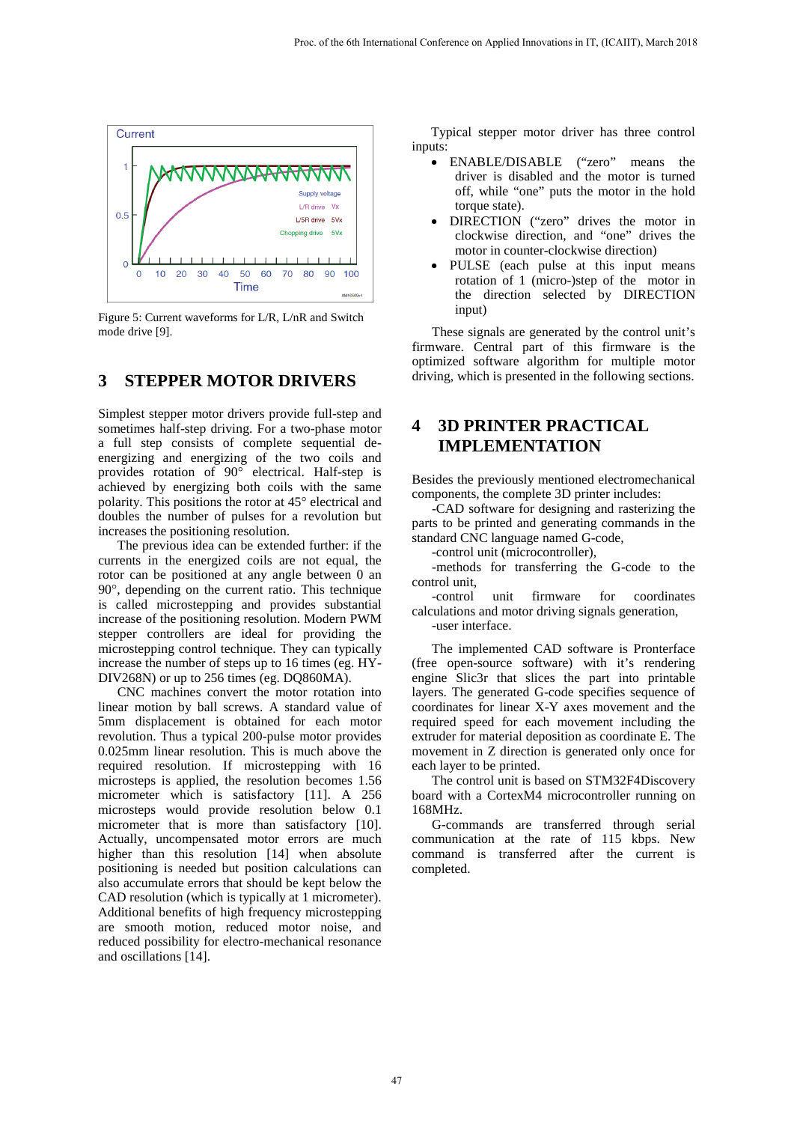

Figure 5: Current waveforms for L/R, L/nR and Switch mode drive [\[9\].](#page-5-7)

#### **3 STEPPER MOTOR DRIVERS**

Simplest stepper motor drivers provide full-step and sometimes half-step driving. For a two-phase motor a full step consists of complete sequential deenergizing and energizing of the two coils and provides rotation of 90° electrical. Half-step is achieved by energizing both coils with the same polarity. This positions the rotor at 45° electrical and doubles the number of pulses for a revolution but increases the positioning resolution.

The previous idea can be extended further: if the currents in the energized coils are not equal, the rotor can be positioned at any angle between 0 an 90°, depending on the current ratio. This technique is called microstepping and provides substantial increase of the positioning resolution. Modern PWM stepper controllers are ideal for providing the microstepping control technique. They can typically increase the number of steps up to 16 times (eg. HY-DIV268N) or up to 256 times (eg. DQ860MA).

CNC machines convert the motor rotation into linear motion by ball screws. A standard value of 5mm displacement is obtained for each motor revolution. Thus a typical 200-pulse motor provides 0.025mm linear resolution. This is much above the required resolution. If microstepping with 16 microsteps is applied, the resolution becomes 1.56 micrometer which is satisfactory [\[11\].](#page-5-8) A 256 microsteps would provide resolution below 0.1 micrometer that is more than satisfactory [\[10\].](#page-5-9) Actually, uncompensated motor errors are much higher than this resolution [\[14\]](#page-5-10) when absolute positioning is needed but position calculations can also accumulate errors that should be kept below the CAD resolution (which is typically at 1 micrometer). Additional benefits of high frequency microstepping are smooth motion, reduced motor noise, and reduced possibility for electro-mechanical resonance and oscillation[s \[14\].](#page-5-10) 

Typical stepper motor driver has three control inputs:

- ENABLE/DISABLE ("zero" means the driver is disabled and the motor is turned off, while "one" puts the motor in the hold torque state).
- DIRECTION ("zero" drives the motor in clockwise direction, and "one" drives the motor in counter-clockwise direction)
- PULSE (each pulse at this input means rotation of 1 (micro-)step of the motor in the direction selected by DIRECTION input)

These signals are generated by the control unit's firmware. Central part of this firmware is the optimized software algorithm for multiple motor driving, which is presented in the following sections.

### **4 3D PRINTER PRACTICAL IMPLEMENTATION**

Besides the previously mentioned electromechanical components, the complete 3D printer includes:

-CAD software for designing and rasterizing the parts to be printed and generating commands in the standard CNC language named G-code,

-control unit (microcontroller),

-methods for transferring the G-code to the control unit,

-control unit firmware for coordinates calculations and motor driving signals generation, -user interface.

The implemented CAD software is Pronterface (free open-source software) with it's rendering engine Slic3r that slices the part into printable layers. The generated G-code specifies sequence of coordinates for linear X-Y axes movement and the

required speed for each movement including the extruder for material deposition as coordinate E. The movement in Z direction is generated only once for each layer to be printed.

The control unit is based on STM32F4Discovery board with a CortexM4 microcontroller running on 168MHz.

G-commands are transferred through serial communication at the rate of 115 kbps. New command is transferred after the current is completed.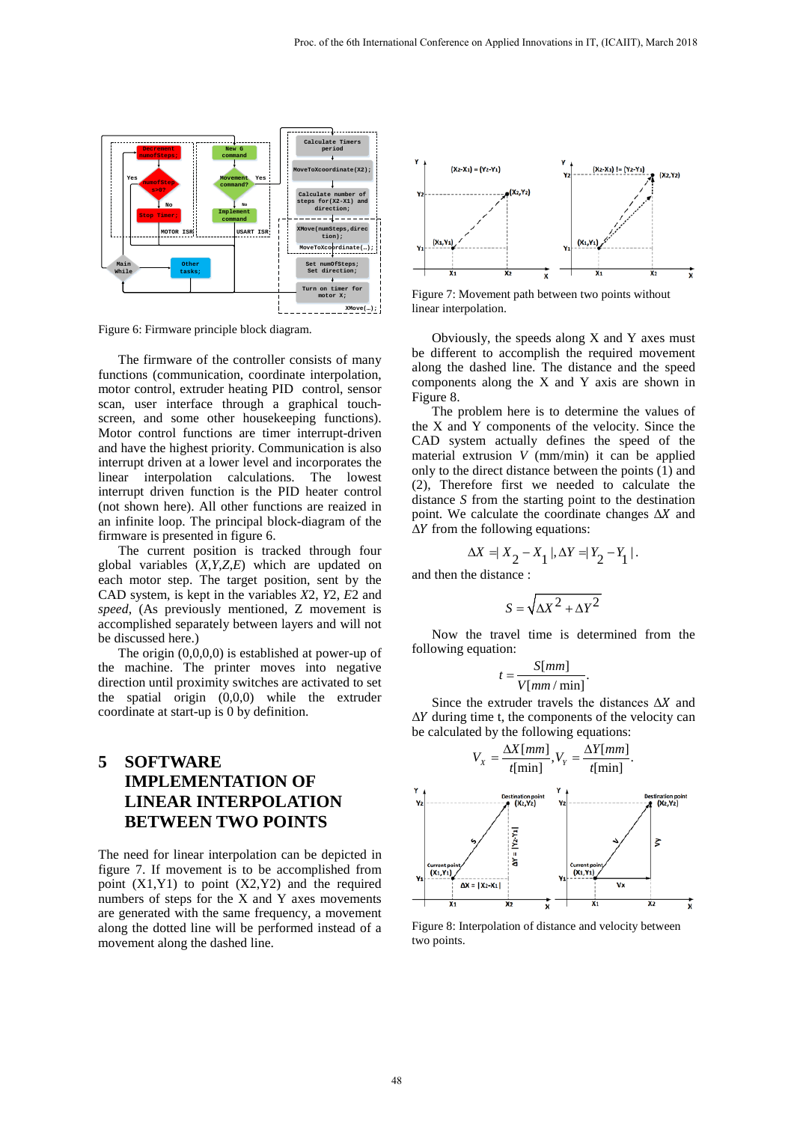

Figure 6: Firmware principle block diagram.

The firmware of the controller consists of many functions (communication, coordinate interpolation, motor control, extruder heating PID control, sensor scan, user interface through a graphical touchscreen, and some other housekeeping functions). Motor control functions are timer interrupt-driven and have the highest priority. Communication is also interrupt driven at a lower level and incorporates the linear interpolation calculations. The lowest interrupt driven function is the PID heater control (not shown here). All other functions are reaized in an infinite loop. The principal block-diagram of the firmware is presented in figure 6.

The current position is tracked through four global variables (*X*,*Y*,*Z*,*E*) which are updated on each motor step. The target position, sent by the CAD system, is kept in the variables *X*2, *Y*2, *E*2 and *speed*, (As previously mentioned, Z movement is accomplished separately between layers and will not be discussed here.)

The origin (0,0,0,0) is established at power-up of the machine. The printer moves into negative direction until proximity switches are activated to set the spatial origin (0,0,0) while the extruder coordinate at start-up is 0 by definition.

# **5 SOFTWARE IMPLEMENTATION OF LINEAR INTERPOLATION BETWEEN TWO POINTS**

The need for linear interpolation can be depicted in figure 7. If movement is to be accomplished from point  $(X1,Y1)$  to point  $(X2,Y2)$  and the required numbers of steps for the X and Y axes movements are generated with the same frequency, a movement along the dotted line will be performed instead of a movement along the dashed line.



Figure 7: Movement path between two points without linear interpolation.

Obviously, the speeds along X and Y axes must be different to accomplish the required movement along the dashed line. The distance and the speed components along the X and Y axis are shown in Figure 8.

The problem here is to determine the values of the X and Y components of the velocity. Since the CAD system actually defines the speed of the material extrusion *V* (mm/min) it can be applied only to the direct distance between the points (1) and (2), Therefore first we needed to calculate the distance *S* from the starting point to the destination point. We calculate the coordinate changes  $\Delta X$  and  $\Delta Y$  from the following equations:

$$
\Delta X = |X_2 - X_1|, \Delta Y = |Y_2 - Y_1|.
$$

and then the distance :

$$
S = \sqrt{\Delta X^2 + \Delta Y^2}
$$

Now the travel time is determined from the following equation:

$$
t = \frac{S[mm]}{V[mm/\min]}.
$$

Since the extruder travels the distances  $\Delta X$  and  $\Delta Y$  during time t, the components of the velocity can be calculated by the following equations:



Figure 8: Interpolation of distance and velocity between two points.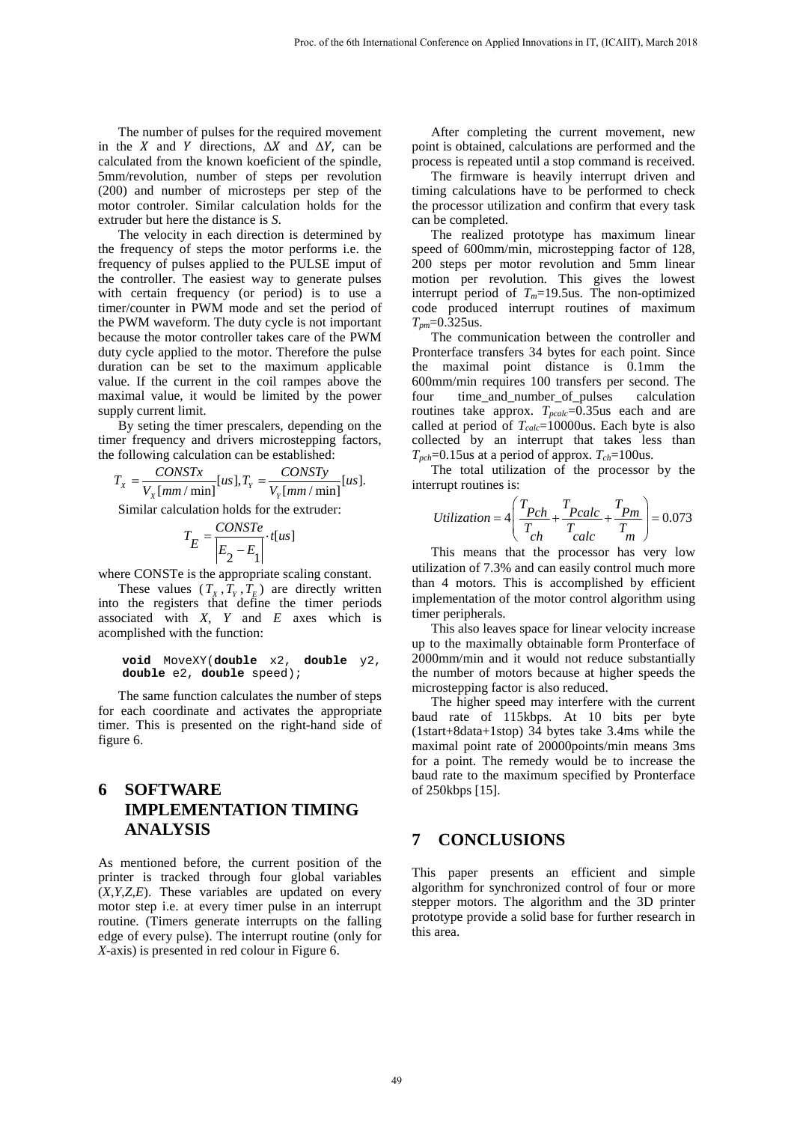The number of pulses for the required movement in the X and Y directions,  $\Delta X$  and  $\Delta Y$ , can be calculated from the known koeficient of the spindle, 5mm/revolution, number of steps per revolution (200) and number of microsteps per step of the motor controler. Similar calculation holds for the extruder but here the distance is *S*.

The velocity in each direction is determined by the frequency of steps the motor performs i.e. the frequency of pulses applied to the PULSE imput of the controller. The easiest way to generate pulses with certain frequency (or period) is to use a timer/counter in PWM mode and set the period of the PWM waveform. The duty cycle is not important because the motor controller takes care of the PWM duty cycle applied to the motor. Therefore the pulse duration can be set to the maximum applicable value. If the current in the coil rampes above the maximal value, it would be limited by the power supply current limit.

By seting the timer prescalers, depending on the timer frequency and drivers microstepping factors, the following calculation can be established:

$$
T_{X} = \frac{CONSTx}{V_{X}[mm / min]}[us], T_{Y} = \frac{CONSTy}{V_{Y}[mm / min]}[us].
$$

Similar calculation holds for the extruder:

$$
T_E = \frac{CONSTE}{\left| E_2 - E_1 \right|} \cdot t[us]
$$

where CONSTe is the appropriate scaling constant.

These values  $(T_X, T_Y, T_E)$  are directly written into the registers that define the timer periods associated with *X*, *Y* and *E* axes which is acomplished with the function:

**void** MoveXY(**double** x2, **double** y2, **double** e2, **double** speed);

The same function calculates the number of steps for each coordinate and activates the appropriate timer. This is presented on the right-hand side of figure 6.

# **6 SOFTWARE IMPLEMENTATION TIMING ANALYSIS**

As mentioned before, the current position of the printer is tracked through four global variables (*X*,*Y*,*Z*,*E*). These variables are updated on every motor step i.e. at every timer pulse in an interrupt routine. (Timers generate interrupts on the falling edge of every pulse). The interrupt routine (only for *X*-axis) is presented in red colour in Figure 6.

After completing the current movement, new point is obtained, calculations are performed and the process is repeated until a stop command is received.

The firmware is heavily interrupt driven and timing calculations have to be performed to check the processor utilization and confirm that every task can be completed.

The realized prototype has maximum linear speed of 600mm/min, microstepping factor of 128, 200 steps per motor revolution and 5mm linear motion per revolution. This gives the lowest interrupt period of  $T_m=19.5$ us. The non-optimized code produced interrupt routines of maximum *Tpm*=0.325us.

The communication between the controller and Pronterface transfers 34 bytes for each point. Since the maximal point distance is 0.1mm the 600mm/min requires 100 transfers per second. The four time\_and\_number\_of\_pulses calculation routines take approx.  $T_{\text{pcalc}}$ =0.35us each and are called at period of *Tcalc*=10000us. Each byte is also collected by an interrupt that takes less than *Tpch*=0.15us at a period of approx. *Tch*=100us.

The total utilization of the processor by the interrupt routines is:

$$
Utilization = 4\left(\frac{T_{Pch}}{T_{ch}} + \frac{T_{Pcalc}}{T_{calc}} + \frac{T_{Pm}}{T_m}\right) = 0.073
$$

This means that the processor has very low utilization of 7.3% and can easily control much more than 4 motors. This is accomplished by efficient implementation of the motor control algorithm using timer peripherals.

This also leaves space for linear velocity increase up to the maximally obtainable form Pronterface of 2000mm/min and it would not reduce substantially the number of motors because at higher speeds the microstepping factor is also reduced.

The higher speed may interfere with the current baud rate of 115kbps. At 10 bits per byte (1start+8data+1stop) 34 bytes take 3.4ms while the maximal point rate of 20000points/min means 3ms for a point. The remedy would be to increase the baud rate to the maximum specified by Pronterface of 250kbps [\[15\].](#page-5-11)

#### **7 CONCLUSIONS**

This paper presents an efficient and simple algorithm for synchronized control of four or more stepper motors. The algorithm and the 3D printer prototype provide a solid base for further research in this area.